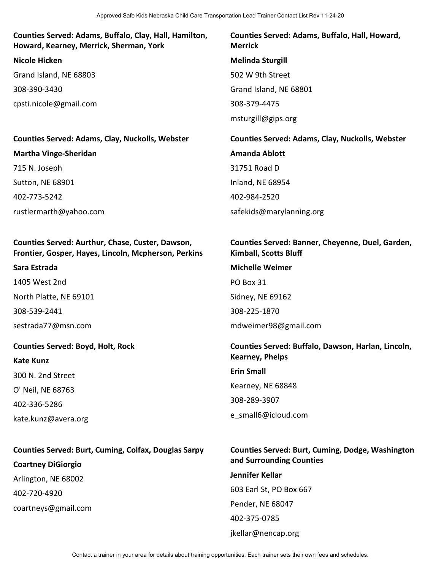### **Counties Served: Adams, Buffalo, Clay, Hall, Hamilton, Howard, Kearney, Merrick, Sherman, York**

**Nicole Hicken** Grand Island, NE 68803 308-390-3430 cpsti.nicole@gmail.com

### **Counties Served: Adams, Clay, Nuckolls, Webster Martha Vinge-Sheridan**

715 N. Joseph Sutton, NE 68901 402-773-5242 rustlermarth@yahoo.com

#### **Counties Served: Aurthur, Chase, Custer, Dawson, Frontier, Gosper, Hayes, Lincoln, Mcpherson, Perkins**

#### **Sara Estrada**

1405 West 2nd North Platte, NE 69101 308-539-2441 sestrada77@msn.com

### **Counties Served: Boyd, Holt, Rock**

**Kate Kunz** 300 N. 2nd Street O' Neil, NE 68763 402-336-5286 kate.kunz@avera.org

# **Counties Served: Burt, Cuming, Colfax, Douglas Sarpy Coartney DiGiorgio** Arlington, NE 68002 402-720-4920 coartneys@gmail.com

**Counties Served: Adams, Buffalo, Hall, Howard, Merrick Melinda Sturgill** 502 W 9th Street Grand Island, NE 68801 308-379-4475 msturgill@gips.org

**Counties Served: Adams, Clay, Nuckolls, Webster Amanda Ablott** 31751 Road D Inland, NE 68954 402-984-2520 safekids@marylanning.org

### **Counties Served: Banner, Cheyenne, Duel, Garden, Kimball, Scotts Bluff**

#### **Michelle Weimer**

PO Box 31

Sidney, NE 69162

308-225-1870

mdweimer98@gmail.com

#### **Counties Served: Buffalo, Dawson, Harlan, Lincoln, Kearney, Phelps**

**Erin Small** Kearney, NE 68848 308-289-3907 e\_small6@icloud.com

### **Counties Served: Burt, Cuming, Dodge, Washington and Surrounding Counties**

**Jennifer Kellar** 603 Earl St, PO Box 667 Pender, NE 68047 402-375-0785 jkellar@nencap.org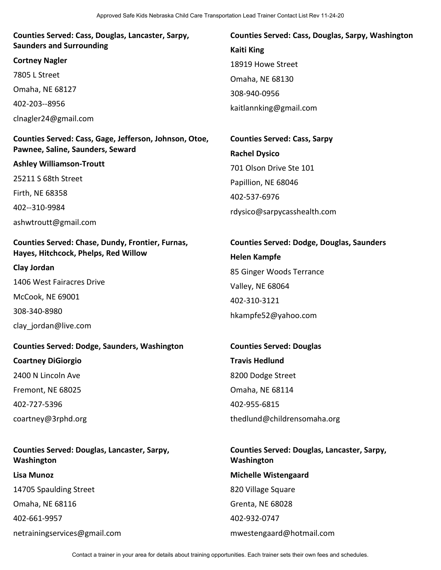**Counties Served: Cass, Douglas, Lancaster, Sarpy, Saunders and Surrounding**

**Cortney Nagler** 7805 L Street Omaha, NE 68127 402-203--8956 clnagler24@gmail.com

**Counties Served: Cass, Gage, Jefferson, Johnson, Otoe, Pawnee, Saline, Saunders, Seward**

**Ashley Williamson-Troutt** 25211 S 68th Street Firth, NE 68358 402--310-9984 ashwtroutt@gmail.com

### **Counties Served: Chase, Dundy, Frontier, Furnas, Hayes, Hitchcock, Phelps, Red Willow**

**Clay Jordan**

1406 West Fairacres Drive

McCook, NE 69001

308-340-8980

clay\_jordan@live.com

**Counties Served: Dodge, Saunders, Washington Coartney DiGiorgio** 2400 N Lincoln Ave Fremont, NE 68025 402-727-5396 coartney@3rphd.org

**Counties Served: Douglas, Lancaster, Sarpy, Washington Lisa Munoz** 14705 Spaulding Street Omaha, NE 68116 402-661-9957 netrainingservices@gmail.com

**Counties Served: Cass, Douglas, Sarpy, Washington Kaiti King** 18919 Howe Street Omaha, NE 68130 308-940-0956 kaitlannking@gmail.com

**Counties Served: Cass, Sarpy Rachel Dysico** 701 Olson Drive Ste 101 Papillion, NE 68046 402-537-6976 rdysico@sarpycasshealth.com

**Counties Served: Dodge, Douglas, Saunders Helen Kampfe** 85 Ginger Woods Terrance Valley, NE 68064 402-310-3121 hkampfe52@yahoo.com

**Counties Served: Douglas Travis Hedlund** 8200 Dodge Street Omaha, NE 68114 402-955-6815 thedlund@childrensomaha.org

**Counties Served: Douglas, Lancaster, Sarpy, Washington Michelle Wistengaard** 820 Village Square Grenta, NE 68028 402-932-0747 mwestengaard@hotmail.com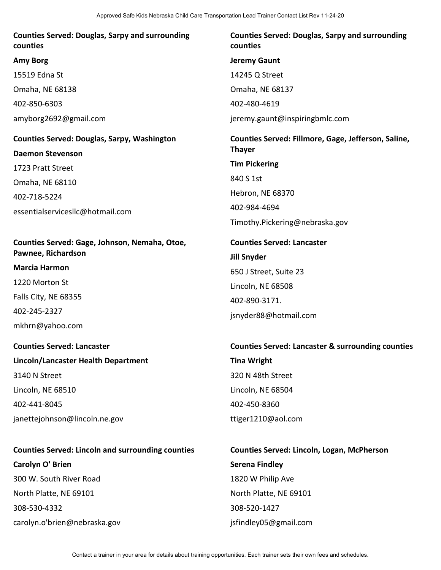### **Counties Served: Douglas, Sarpy and surrounding counties**

#### **Amy Borg**

15519 Edna St

Omaha, NE 68138

402-850-6303

amyborg2692@gmail.com

# **Counties Served: Douglas, Sarpy, Washington Daemon Stevenson** 1723 Pratt Street Omaha, NE 68110

402-718-5224

essentialservicesllc@hotmail.com

### **Counties Served: Gage, Johnson, Nemaha, Otoe, Pawnee, Richardson**

### **Marcia Harmon**

1220 Morton St Falls City, NE 68355 402-245-2327 mkhrn@yahoo.com

## **Counties Served: Lancaster**

**Lincoln/Lancaster Health Department** 3140 N Street Lincoln, NE 68510 402-441-8045 janettejohnson@lincoln.ne.gov

## **Counties Served: Lincoln and surrounding counties Carolyn O' Brien** 300 W. South River Road

North Platte, NE 69101 308-530-4332 carolyn.o'brien@nebraska.gov

### **Counties Served: Douglas, Sarpy and surrounding counties**

**Jeremy Gaunt**

14245 Q Street

Omaha, NE 68137

402-480-4619

jeremy.gaunt@inspiringbmlc.com

## **Counties Served: Fillmore, Gage, Jefferson, Saline, Thayer Tim Pickering** 840 S 1st Hebron, NE 68370 402-984-4694

Timothy.Pickering@nebraska.gov

# **Counties Served: Lancaster Jill Snyder** 650 J Street, Suite 23 Lincoln, NE 68508 402-890-3171. jsnyder88@hotmail.com

# **Counties Served: Lancaster & surrounding counties Tina Wright** 320 N 48th Street Lincoln, NE 68504 402-450-8360

ttiger1210@aol.com

# **Counties Served: Lincoln, Logan, McPherson Serena Findley** 1820 W Philip Ave North Platte, NE 69101 308-520-1427 jsfindley05@gmail.com